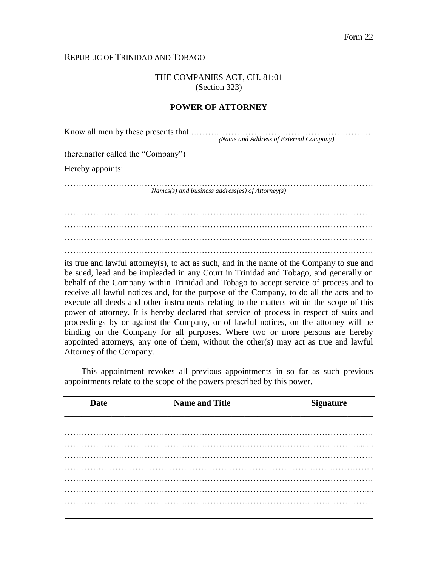### REPUBLIC OF TRINIDAD AND TOBAGO

THE COMPANIES ACT, CH. 81:01 (Section 323)

### **POWER OF ATTORNEY**

| Know all men by these presents that |                                                    |
|-------------------------------------|----------------------------------------------------|
|                                     | (Name and Address of External Company)             |
| (hereinafter called the "Company")  |                                                    |
| Hereby appoints:                    |                                                    |
|                                     | Names(s) and business address(es) of $Attorney(s)$ |
|                                     |                                                    |
|                                     |                                                    |
|                                     |                                                    |

………………………………………………………………………………………………

its true and lawful attorney(s), to act as such, and in the name of the Company to sue and be sued, lead and be impleaded in any Court in Trinidad and Tobago, and generally on behalf of the Company within Trinidad and Tobago to accept service of process and to receive all lawful notices and, for the purpose of the Company, to do all the acts and to execute all deeds and other instruments relating to the matters within the scope of this power of attorney. It is hereby declared that service of process in respect of suits and proceedings by or against the Company, or of lawful notices, on the attorney will be binding on the Company for all purposes. Where two or more persons are hereby appointed attorneys, any one of them, without the other(s) may act as true and lawful Attorney of the Company.

This appointment revokes all previous appointments in so far as such previous appointments relate to the scope of the powers prescribed by this power.

| <b>Date</b> | <b>Name and Title</b> | <b>Signature</b> |
|-------------|-----------------------|------------------|
|             |                       |                  |
|             |                       |                  |
|             |                       |                  |
|             |                       |                  |
|             |                       |                  |
|             |                       |                  |
|             |                       |                  |
|             |                       |                  |